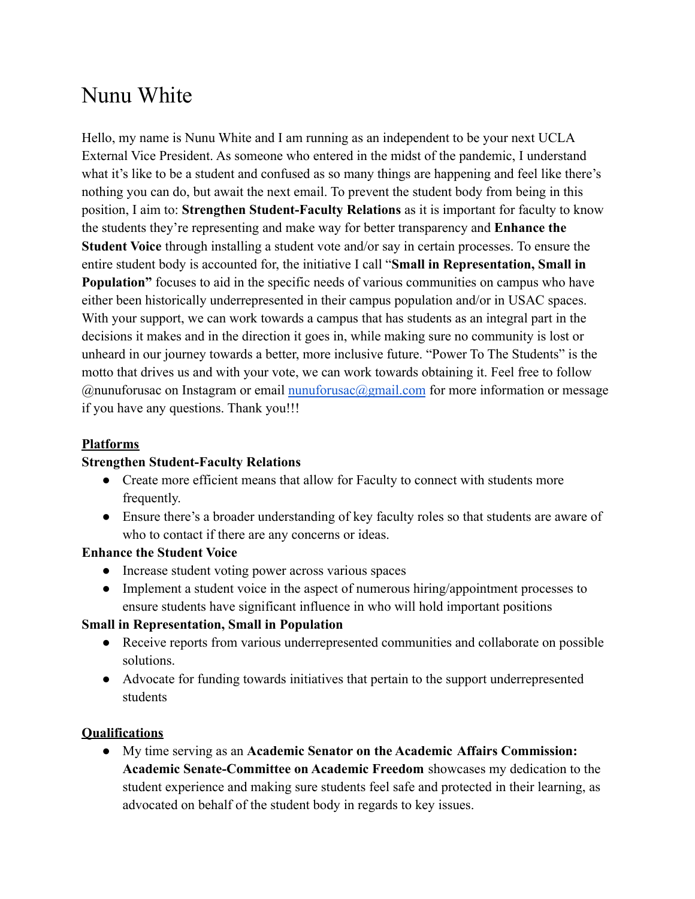# Nunu White

Hello, my name is Nunu White and I am running as an independent to be your next UCLA External Vice President. As someone who entered in the midst of the pandemic, I understand what it's like to be a student and confused as so many things are happening and feel like there's nothing you can do, but await the next email. To prevent the student body from being in this position, I aim to: **Strengthen Student-Faculty Relations** as it is important for faculty to know the students they're representing and make way for better transparency and **Enhance the Student Voice** through installing a student vote and/or say in certain processes. To ensure the entire student body is accounted for, the initiative I call "**Small in Representation, Small in Population"** focuses to aid in the specific needs of various communities on campus who have either been historically underrepresented in their campus population and/or in USAC spaces. With your support, we can work towards a campus that has students as an integral part in the decisions it makes and in the direction it goes in, while making sure no community is lost or unheard in our journey towards a better, more inclusive future. "Power To The Students" is the motto that drives us and with your vote, we can work towards obtaining it. Feel free to follow  $@$ nunuforusac on Instagram or email nunuforusac $@g$ gmail.com for more information or message if you have any questions. Thank you!!!

## **Platforms**

### **Strengthen Student-Faculty Relations**

- Create more efficient means that allow for Faculty to connect with students more frequently.
- Ensure there's a broader understanding of key faculty roles so that students are aware of who to contact if there are any concerns or ideas.

### **Enhance the Student Voice**

- Increase student voting power across various spaces
- Implement a student voice in the aspect of numerous hiring/appointment processes to ensure students have significant influence in who will hold important positions

### **Small in Representation, Small in Population**

- Receive reports from various underrepresented communities and collaborate on possible solutions.
- Advocate for funding towards initiatives that pertain to the support underrepresented students

### **Qualifications**

● My time serving as an **Academic Senator on the Academic Affairs Commission: Academic Senate-Committee on Academic Freedom** showcases my dedication to the student experience and making sure students feel safe and protected in their learning, as advocated on behalf of the student body in regards to key issues.